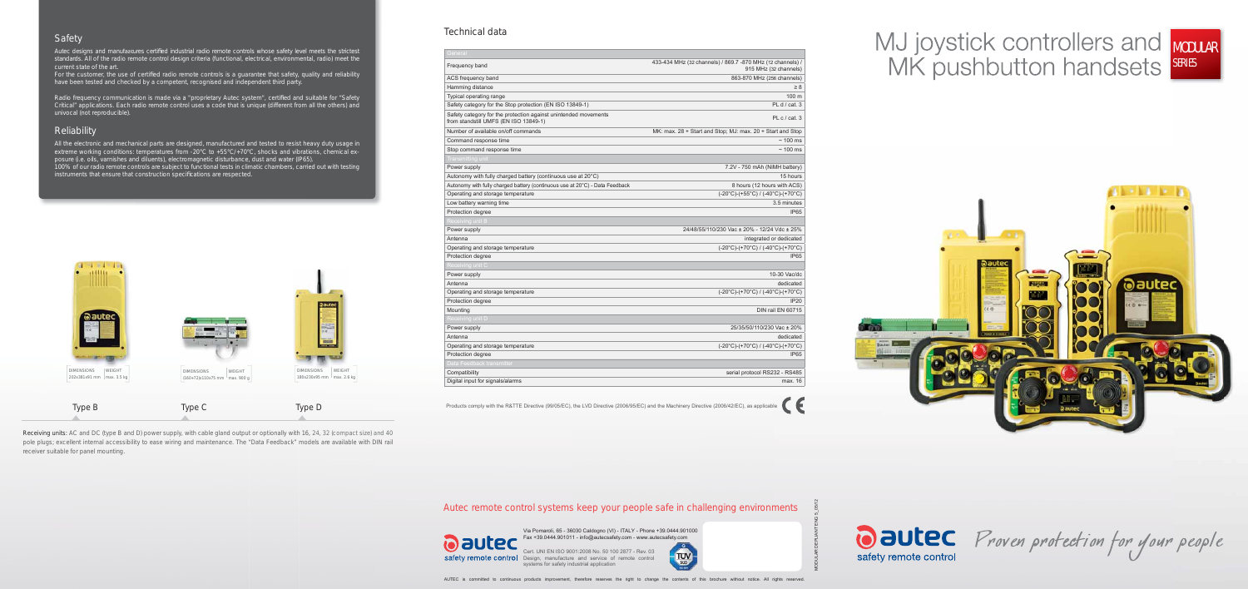# MODULAR SERIES



# Safety

Autec designs and manufactures certified industrial radio remote controls whose safety level meets the strictest standards. All of the radio remote control design criteria (functional, electrical, environmental, radio) meet the current state of the art.

For the customer, the use of certified radio remote controls is a guarantee that safety, quality and reliability have been tested and checked by a competent, recognised and independent third party.

Radio frequency communication is made via a "proprietary Autec system", certified and suitable for "Safety Critical" applications. Each radio remote control uses a code that is unique (different from all the others) and univocal (not reproducible).

### **Reliability**

All the electronic and mechanical parts are designed, manufactured and tested to resist heavy duty usage in extreme working conditions: temperatures from -20°C to +55°C/+70°C, shocks and vibrations, chemical exposure (i.e. oils, varnishes and diluents), electromagnetic disturbance, dust and water (IP65). 100% of our radio remote controls are subject to functional tests in climatic chambers, carried out with testing instruments that ensure that construction specifications are respected.

Receiving units: AC and DC (type B and D) power supply, with cable gland output or optionally with 16, 24, 32 (compact size) and 40 pole plugs; excellent internal accessibility to ease wiring and maintenance. The "Data Feedback" models are available with DIN rail receiver suitable for panel mounting.



MODULAR DEPLIANT ENG 5\_05/12

### Technical data

Products comply with the R&TTE Directive (99/05/EC), the LVD Directive (2006/95/EC) and the Machinery Directive (2006/42/EC), as applicable

| 433-434 MHz (32 channels) / 869.7 -870 MHz (12 channels) /<br>915 MHz (32 channels) |
|-------------------------------------------------------------------------------------|
| 863-870 MHz (256 channels)                                                          |
| $\geq 8$                                                                            |
| 100 m                                                                               |
| PL d / cat. 3                                                                       |
| PL c / cat. 3                                                                       |
| MK: max. 28 + Start and Stop; MJ: max. 20 + Start and Stop                          |
| $\sim$ 100 ms                                                                       |
| $\sim$ 100 ms                                                                       |
|                                                                                     |
| 7.2V - 750 mAh (NiMH battery)                                                       |
| 15 hours                                                                            |
| 8 hours (12 hours with ACS)                                                         |
| $(-20^{\circ}C)$ -(+55°C) / (-40°C)-(+70°C)                                         |
| 3.5 minutes                                                                         |
| <b>IP65</b>                                                                         |
|                                                                                     |
| 24/48/55/110/230 Vac ± 20% - 12/24 Vdc ± 25%                                        |
| integrated or dedicated                                                             |
| (-20°C)-(+70°C) / (-40°C)-(+70°C)                                                   |
| <b>IP65</b>                                                                         |
|                                                                                     |
| 10-30 Vac/dc                                                                        |
| dedicated                                                                           |
| $(-20^{\circ}C)$ -(+70 $^{\circ}C)$ / (-40 $^{\circ}C$ )-(+70 $^{\circ}C$ )         |
| <b>IP20</b>                                                                         |
| DIN rail EN 60715                                                                   |
|                                                                                     |
| 25/35/50/110/230 Vac ± 20%                                                          |
| dedicated                                                                           |
| $(-20^{\circ}C)$ -(+70 $^{\circ}C)$ / (-40 $^{\circ}C$ )-(+70 $^{\circ}C$ )         |
| <b>IP65</b>                                                                         |
|                                                                                     |
| serial protocol RS232 - RS485                                                       |
| max. 16                                                                             |
|                                                                                     |



Oautec Proven protection for your people

**TUV** 

| General                                                                                                  |                                                                                     |
|----------------------------------------------------------------------------------------------------------|-------------------------------------------------------------------------------------|
| Frequency band                                                                                           | 433-434 MHz (32 channels) / 869.7 -870 MHz (12 channels) /<br>915 MHz (32 channels) |
| ACS frequency band                                                                                       | 863-870 MHz (256 channels)                                                          |
| Hamming distance                                                                                         | $\geq 8$                                                                            |
| Typical operating range                                                                                  | 100 <sub>m</sub>                                                                    |
| Safety category for the Stop protection (EN ISO 13849-1)                                                 | PL d / cat. 3                                                                       |
| Safety category for the protection against unintended movements<br>from standstill UMFS (EN ISO 13849-1) | PL c / cat. 3                                                                       |
| Number of available on/off commands                                                                      | MK: max. 28 + Start and Stop; MJ: max. 20 + Start and Stop                          |
| Command response time                                                                                    | $\sim$ 100 ms                                                                       |
| Stop command response time                                                                               | $\sim$ 100 ms                                                                       |
| Transmitting unit                                                                                        |                                                                                     |
| Power supply                                                                                             | 7.2V - 750 mAh (NiMH battery)                                                       |
| Autonomy with fully charged battery (continuous use at 20°C)                                             | 15 hours                                                                            |
| Autonomy with fully charged battery (continuous use at $20^{\circ}$ C) - Data Feedback                   | 8 hours (12 hours with ACS)                                                         |
| Operating and storage temperature                                                                        | $(-20^{\circ}C)$ - $(+55^{\circ}C)$ / $(-40^{\circ}C)$ - $(+70^{\circ}C)$           |
| Low battery warning time                                                                                 | 3.5 minutes                                                                         |
| Protection degree                                                                                        | <b>IP65</b>                                                                         |
| Receiving unit B                                                                                         |                                                                                     |
| Power supply                                                                                             | 24/48/55/110/230 Vac ± 20% - 12/24 Vdc ± 25%                                        |
| Antenna                                                                                                  | integrated or dedicated                                                             |
| Operating and storage temperature                                                                        | $(-20^{\circ}C)$ -(+70 $^{\circ}C)$ / (-40 $^{\circ}C$ )-(+70 $^{\circ}C$ )         |
| Protection degree                                                                                        | <b>IP65</b>                                                                         |
| Receiving unit C                                                                                         |                                                                                     |
| Power supply                                                                                             | 10-30 Vac/dc                                                                        |
| Antenna                                                                                                  | dedicated                                                                           |
| Operating and storage temperature                                                                        | $(-20^{\circ}C)$ -(+70°C) / (-40°C)-(+70°C)                                         |
| Protection degree                                                                                        | <b>IP20</b>                                                                         |
| Mounting                                                                                                 | DIN rail EN 60715                                                                   |
| Receiving unit D                                                                                         |                                                                                     |
| Power supply                                                                                             | 25/35/50/110/230 Vac ± 20%                                                          |
| Antenna                                                                                                  | dedicated                                                                           |
| Operating and storage temperature                                                                        | $(-20^{\circ}C)$ -(+70 $^{\circ}C)$ / (-40 $^{\circ}C$ )-(+70 $^{\circ}C$ )         |
| Protection degree                                                                                        | IP <sub>65</sub>                                                                    |
| Data Feedback transmitter                                                                                |                                                                                     |
| Compatibility                                                                                            | serial protocol RS232 - RS485                                                       |
| Digital input for signals/alarms                                                                         | max. 16                                                                             |

Via Pomaroli, 65 - 36030 Caldogno (VI) - ITALY - Phone +39.0444.901000 Fax +39.0444.901011 - info@autecsafety.com - www.autecsafety.com

Cert. UNI EN ISO 9001:2008 No. 50 100 2877 - Rev. 03 safety remote control Design, manufacture and service of remote control systems for safety industrial application

# Autec remote control systems keep your people safe in challenging environments